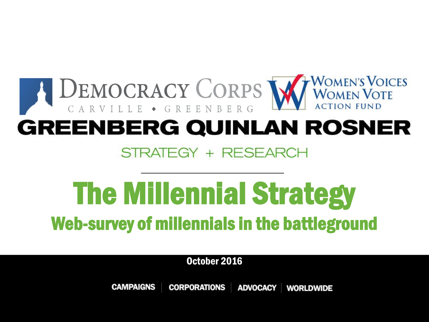

# The Millennial Strategy Web-survey of millennials in the battleground

October 2016

**CAMPAIGNS CORPORATIONS ADVOCACY WORLDWIDE**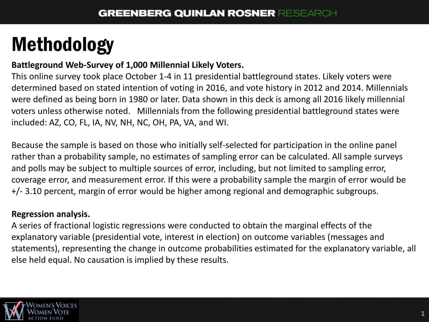# Methodology

#### **Battleground Web-Survey of 1,000 Millennial Likely Voters.**

This online survey took place October 1-4 in 11 presidential battleground states. Likely voters were determined based on stated intention of voting in 2016, and vote history in 2012 and 2014. Millennials were defined as being born in 1980 or later. Data shown in this deck is among all 2016 likely millennial voters unless otherwise noted. Millennials from the following presidential battleground states were included: AZ, CO, FL, IA, NV, NH, NC, OH, PA, VA, and WI.

Because the sample is based on those who initially self-selected for participation in the online panel rather than a probability sample, no estimates of sampling error can be calculated. All sample surveys and polls may be subject to multiple sources of error, including, but not limited to sampling error, coverage error, and measurement error. If this were a probability sample the margin of error would be +/- 3.10 percent, margin of error would be higher among regional and demographic subgroups.

#### **Regression analysis.**

A series of fractional logistic regressions were conducted to obtain the marginal effects of the explanatory variable (presidential vote, interest in election) on outcome variables (messages and statements), representing the change in outcome probabilities estimated for the explanatory variable, all else held equal. No causation is implied by these results.

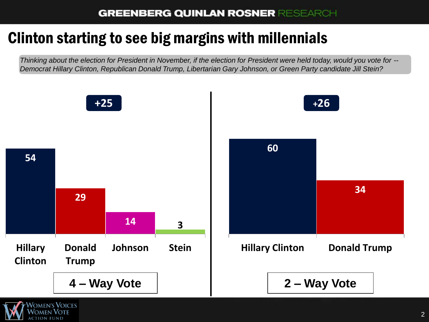# Clinton starting to see big margins with millennials

*Thinking about the election for President in November, if the election for President were held today, would you vote for -- Democrat Hillary Clinton, Republican Donald Trump, Libertarian Gary Johnson, or Green Party candidate Jill Stein?*



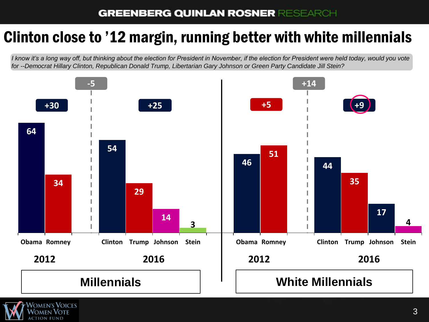### Clinton close to '12 margin, running better with white millennials

*I know it's a long way off, but thinking about the election for President in November, if the election for President were held today, would you vote for --Democrat Hillary Clinton, Republican Donald Trump, Libertarian Gary Johnson or Green Party Candidate Jill Stein?*



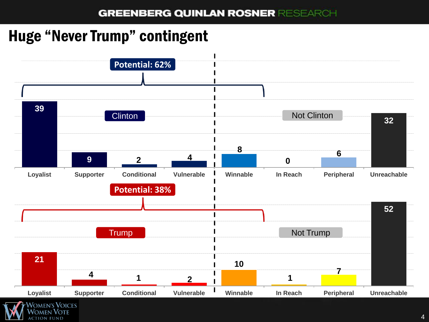## Huge "Never Trump" contingent

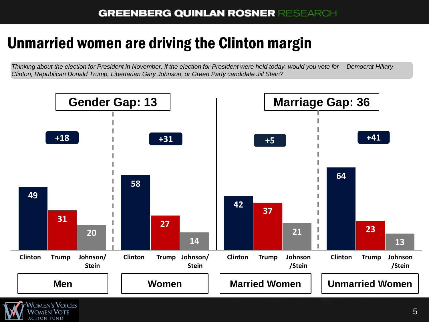## Unmarried women are driving the Clinton margin

*Thinking about the election for President in November, if the election for President were held today, would you vote for -- Democrat Hillary Clinton, Republican Donald Trump, Libertarian Gary Johnson, or Green Party candidate Jill Stein?*

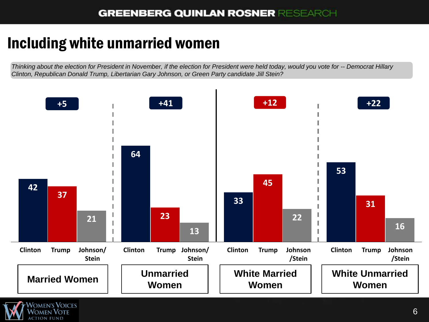## Including white unmarried women

*Thinking about the election for President in November, if the election for President were held today, would you vote for -- Democrat Hillary Clinton, Republican Donald Trump, Libertarian Gary Johnson, or Green Party candidate Jill Stein?*

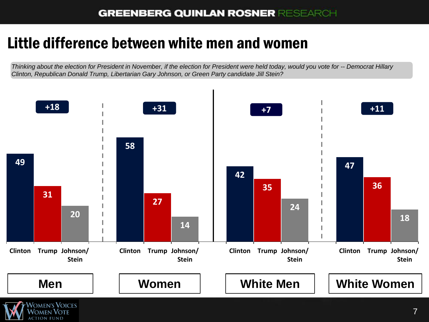#### Little difference between white men and women

 $\mathcal N$ omen  $\mathcal V$ ote

*Thinking about the election for President in November, if the election for President were held today, would you vote for -- Democrat Hillary Clinton, Republican Donald Trump, Libertarian Gary Johnson, or Green Party candidate Jill Stein?*

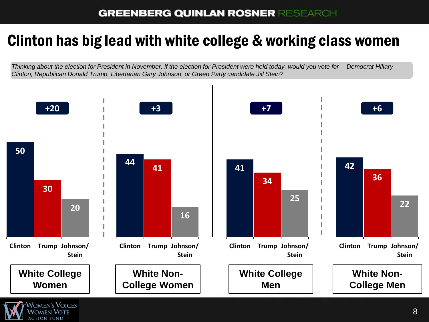#### Clinton has big lead with white college & working class women

*Thinking about the election for President in November, if the election for President were held today, would you vote for -- Democrat Hillary Clinton, Republican Donald Trump, Libertarian Gary Johnson, or Green Party candidate Jill Stein?*



 $\mathcal N$ omen  $\mathcal V$ ote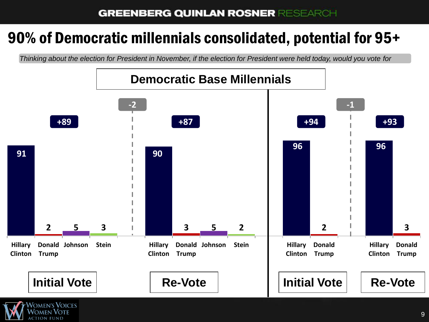## 90% of Democratic millennials consolidated, potential for 95+

*Thinking about the election for President in November, if the election for President were held today, would you vote for*

![](_page_9_Figure_3.jpeg)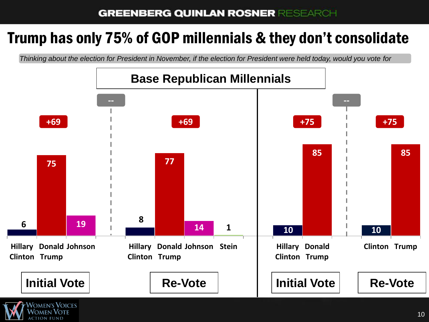#### Trump has only 75% of GOP millennials & they don't consolidate

*Thinking about the election for President in November, if the election for President were held today, would you vote for*

![](_page_10_Figure_3.jpeg)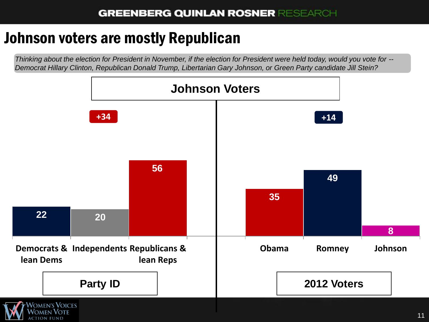#### Johnson voters are mostly Republican

*Thinking about the election for President in November, if the election for President were held today, would you vote for -- Democrat Hillary Clinton, Republican Donald Trump, Libertarian Gary Johnson, or Green Party candidate Jill Stein?*

![](_page_11_Figure_3.jpeg)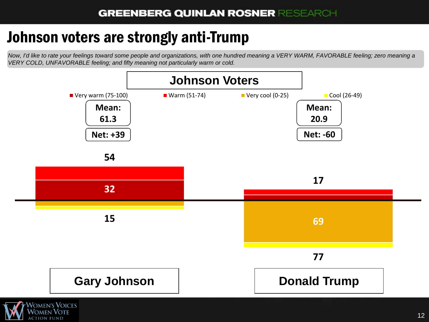### Johnson voters are strongly anti-Trump

**CTION FUND** 

*Now, I'd like to rate your feelings toward some people and organizations, with one hundred meaning a VERY WARM, FAVORABLE feeling; zero meaning a VERY COLD, UNFAVORABLE feeling; and fifty meaning not particularly warm or cold.* 

![](_page_12_Figure_3.jpeg)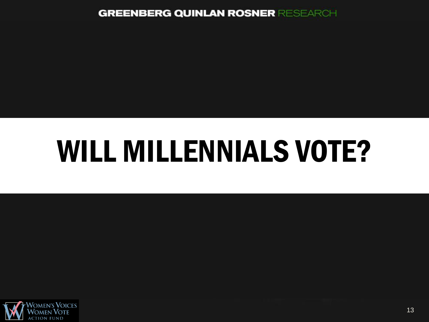# WILL MILLENNIALS VOTE?

![](_page_13_Picture_2.jpeg)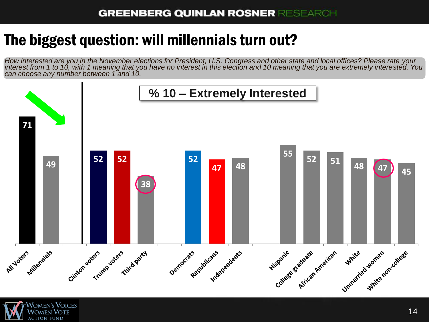## The biggest question: will millennials turn out?

*How interested are you in the November elections for President, U.S. Congress and other state and local offices? Please rate your interest from 1 to 10, with 1 meaning that you have no interest in this election and 10 meaning that you are extremely interested. You can choose any number between 1 and 10.*

![](_page_14_Figure_3.jpeg)

![](_page_14_Picture_4.jpeg)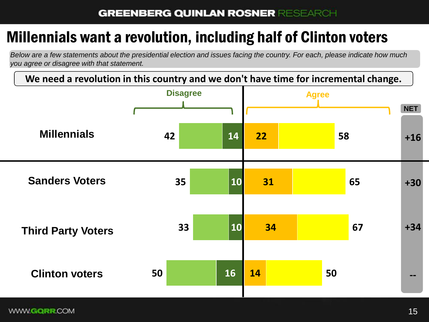# Millennials want a revolution, including half of Clinton voters

*Below are a few statements about the presidential election and issues facing the country. For each, please indicate how much you agree or disagree with that statement.*

**We need a revolution in this country and we don't have time for incremental change.**

![](_page_15_Figure_4.jpeg)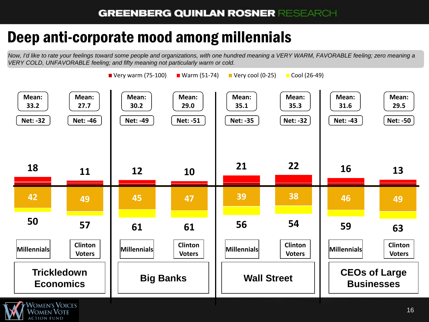## Deep anti-corporate mood among millennials

*Now, I'd like to rate your feelings toward some people and organizations, with one hundred meaning a VERY WARM, FAVORABLE feeling; zero meaning a VERY COLD, UNFAVORABLE feeling; and fifty meaning not particularly warm or cold.* 

![](_page_16_Figure_3.jpeg)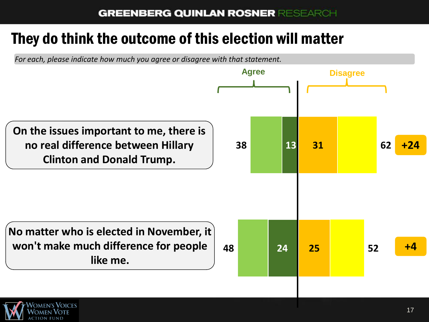#### They do think the outcome of this election will matter

*For each, please indicate how much you agree or disagree with that statement.*

![](_page_17_Figure_3.jpeg)

![](_page_17_Picture_4.jpeg)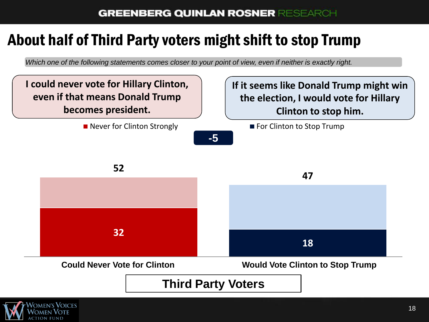## About half of Third Party voters might shift to stop Trump

*Which one of the following statements comes closer to your point of view, even if neither is exactly right.*

![](_page_18_Figure_3.jpeg)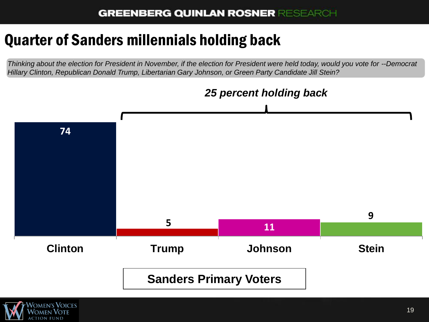## Quarter of Sanders millennials holding back

*Thinking about the election for President in November, if the election for President were held today, would you vote for --Democrat Hillary Clinton, Republican Donald Trump, Libertarian Gary Johnson, or Green Party Candidate Jill Stein?*

![](_page_19_Figure_3.jpeg)

![](_page_19_Picture_4.jpeg)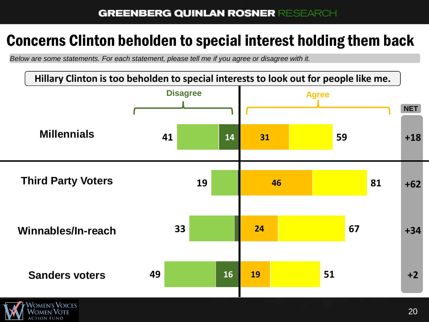#### Concerns Clinton beholden to special interest holding them back

*Below are some statements. For each statement, please tell me if you agree or disagree with it.*

![](_page_20_Figure_3.jpeg)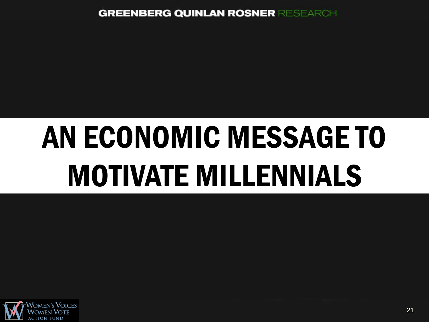# AN ECONOMIC MESSAGE TO MOTIVATE MILLENNIALS

![](_page_21_Picture_2.jpeg)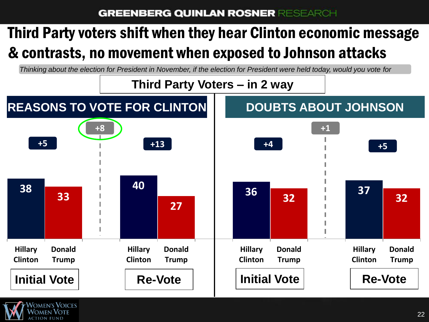# Third Party voters shift when they hear Clinton economic message & contrasts, no movement when exposed to Johnson attacks

*Thinking about the election for President in November, if the election for President were held today, would you vote for*

![](_page_22_Figure_3.jpeg)

![](_page_22_Picture_4.jpeg)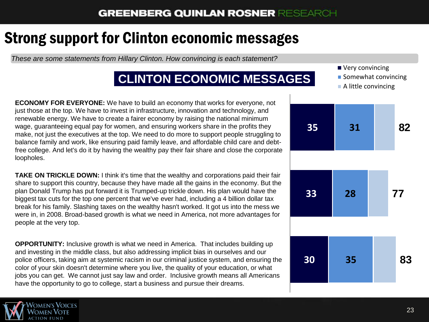## Strong support for Clinton economic messages

*These are some statements from Hillary Clinton. How convincing is each statement?*

#### **CLINTON ECONOMIC MESSAGES**

**ECONOMY FOR EVERYONE:** We have to build an economy that works for everyone, not just those at the top. We have to invest in infrastructure, innovation and technology, and renewable energy. We have to create a fairer economy by raising the national minimum wage, guaranteeing equal pay for women, and ensuring workers share in the profits they make, not just the executives at the top. We need to do more to support people struggling to balance family and work, like ensuring paid family leave, and affordable child care and debtfree college. And let's do it by having the wealthy pay their fair share and close the corporate loopholes.

**TAKE ON TRICKLE DOWN:** I think it's time that the wealthy and corporations paid their fair share to support this country, because they have made all the gains in the economy. But the plan Donald Trump has put forward it is Trumped-up trickle down. His plan would have the biggest tax cuts for the top one percent that we've ever had, including a 4 billion dollar tax break for his family. Slashing taxes on the wealthy hasn't worked. It got us into the mess we were in, in 2008. Broad-based growth is what we need in America, not more advantages for people at the very top.

**OPPORTUNITY:** Inclusive growth is what we need in America. That includes building up and investing in the middle class, but also addressing implicit bias in ourselves and our police officers, taking aim at systemic racism in our criminal justice system, and ensuring the color of your skin doesn't determine where you live, the quality of your education, or what jobs you can get. We cannot just say law and order. Inclusive growth means all Americans have the opportunity to go to college, start a business and pursue their dreams.

![](_page_23_Picture_7.jpeg)

- Very convincing
- **Somewhat convincing**
- A little convincing

![](_page_23_Figure_11.jpeg)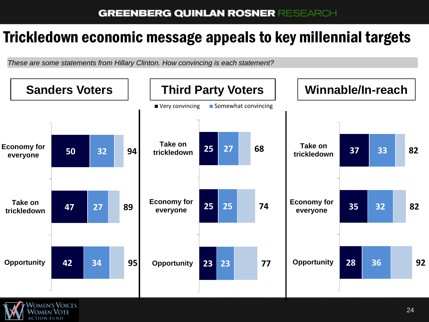#### Trickledown economic message appeals to key millennial targets

*These are some statements from Hillary Clinton. How convincing is each statement?*

![](_page_24_Figure_3.jpeg)

![](_page_24_Picture_4.jpeg)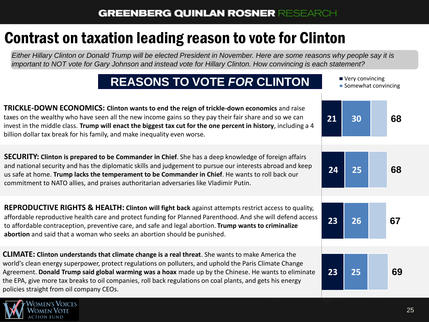# Contrast on taxation leading reason to vote for Clinton

*Either Hillary Clinton or Donald Trump will be elected President in November. Here are some reasons why people say it is important to NOT vote for Gary Johnson and instead vote for Hillary Clinton. How convincing is each statement?*

#### **REASONS TO VOTE** *FOR* **CLINTON**

![](_page_25_Figure_4.jpeg)

![](_page_25_Picture_5.jpeg)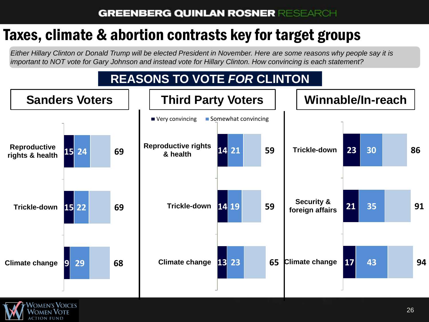# Taxes, climate & abortion contrasts key for target groups

'omen's **V**oices

*Either Hillary Clinton or Donald Trump will be elected President in November. Here are some reasons why people say it is important to NOT vote for Gary Johnson and instead vote for Hillary Clinton. How convincing is each statement?*

#### **REASONS TO VOTE** *FOR* **CLINTON**

![](_page_26_Figure_4.jpeg)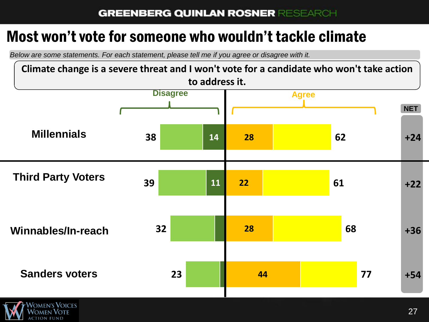#### Most won't vote for someone who wouldn't tackle climate

*Below are some statements. For each statement, please tell me if you agree or disagree with it.*

![](_page_27_Figure_3.jpeg)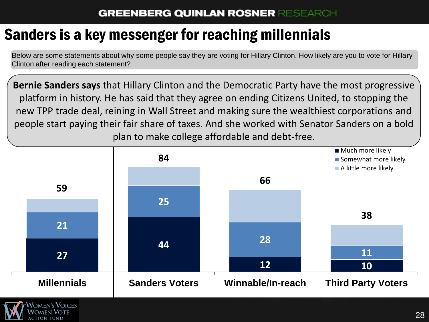## Sanders is a key messenger for reaching millennials

Below are some statements about why some people say they are voting for Hillary Clinton. How likely are you to vote for Hillary Clinton after reading each statement?

**Bernie Sanders says** that Hillary Clinton and the Democratic Party have the most progressive platform in history. He has said that they agree on ending Citizens United, to stopping the new TPP trade deal, reining in Wall Street and making sure the wealthiest corporations and people start paying their fair share of taxes. And she worked with Senator Sanders on a bold plan to make college affordable and debt-free.

![](_page_28_Figure_4.jpeg)